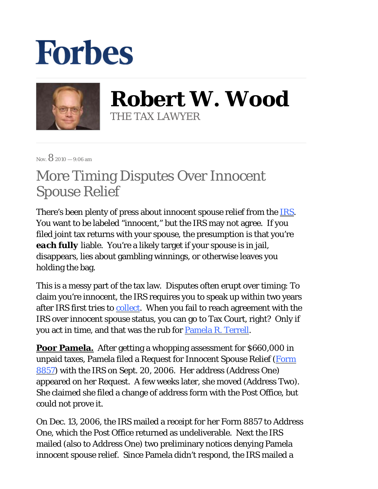## **Forbes**



**Robert W. Wood** THE TAX LAWYER

 $N_{\rm OV}$  8 2010 — 9:06 am

## More Timing Disputes Over Innocent Spouse Relief

There's been plenty of press about innocent spouse relief from the <u>IRS</u>. You want to be labeled "innocent," but the IRS may not agree. If you filed joint tax returns with your spouse, the presumption is that you're *each fully* liable. You're a likely target if your spouse is in jail, disappears, lies about gambling winnings, or otherwise leaves you holding the bag.

This is a messy part of the tax law. Disputes often erupt over timing: To claim you're innocent, the IRS requires you to speak up within two years after IRS first tries to collect. When you fail to reach agreement with the IRS over innocent spouse status, you can go to Tax Court, right? Only if you act in time, and that was the rub for Pamela R. Terrell.

**Poor Pamela.** After getting a whopping assessment for \$660,000 in unpaid taxes, Pamela filed a Request for Innocent Spouse Relief (Form 8857) with the IRS on Sept. 20, 2006. Her address (Address One) appeared on her Request. A few weeks later, she moved (Address Two). She claimed she filed a change of address form with the Post Office, but could not prove it.

On Dec. 13, 2006, the IRS mailed a receipt for her Form 8857 to Address One, which the Post Office returned as undeliverable. Next the IRS mailed (also to Address One) two preliminary notices denying Pamela innocent spouse relief. Since Pamela didn't respond, the IRS mailed a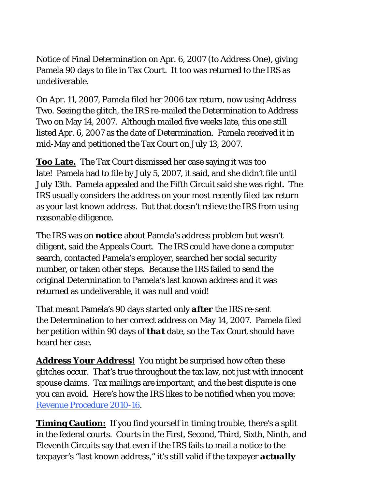Notice of Final Determination on Apr. 6, 2007 (to Address One), giving Pamela 90 days to file in Tax Court. It too was returned to the IRS as undeliverable.

On Apr. 11, 2007, Pamela filed her 2006 tax return, now using Address Two. Seeing the glitch, the IRS re-mailed the Determination to Address Two on May 14, 2007. Although mailed five weeks late, this one still listed Apr. 6, 2007 as the date of Determination. Pamela received it in mid-May and petitioned the Tax Court on July 13, 2007.

**Too Late.**The Tax Court dismissed her case saying it was too late! Pamela had to file by July 5, 2007, it said, and she didn't file until July 13th. Pamela appealed and the Fifth Circuit said she was right. The IRS usually considers the address on your most recently filed tax return as your last known address. But that doesn't relieve the IRS from using reasonable diligence.

The IRS was on *notice* about Pamela's address problem but wasn't diligent, said the Appeals Court. The IRS could have done a computer search, contacted Pamela's employer, searched her social security number, or taken other steps. Because the IRS failed to send the original Determination to Pamela's last known address and it was returned as undeliverable, it was null and void!

That meant Pamela's 90 days started only *after* the IRS re-sent the Determination to her correct address on May 14, 2007. Pamela filed her petition within 90 days of *that* date, so the Tax Court should have heard her case.

**Address Your Address!** You might be surprised how often these glitches occur. That's true throughout the tax law, not just with innocent spouse claims. Tax mailings are important, and the best dispute is one you can avoid. Here's how the IRS likes to be notified when you move: Revenue Procedure 2010-16.

**Timing Caution:** If you find yourself in timing trouble, there's a split in the federal courts. Courts in the First, Second, Third, Sixth, Ninth, and Eleventh Circuits say that even if the IRS fails to mail a notice to the taxpayer's "last known address," it's still valid if the taxpayer *actually*